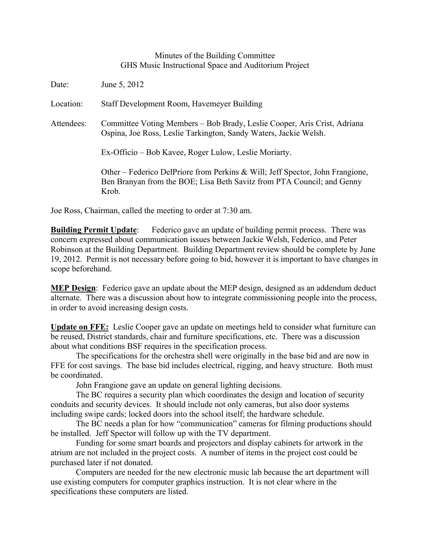## Minutes of the Building Committee GHS Music Instructional Space and Auditorium Project

| Date:      | June 5, 2012                                                                                                                                                     |
|------------|------------------------------------------------------------------------------------------------------------------------------------------------------------------|
| Location:  | Staff Development Room, Havemeyer Building                                                                                                                       |
| Attendees: | Committee Voting Members - Bob Brady, Leslie Cooper, Aris Crist, Adriana<br>Ospina, Joe Ross, Leslie Tarkington, Sandy Waters, Jackie Welsh.                     |
|            | Ex-Officio – Bob Kavee, Roger Lulow, Leslie Moriarty.                                                                                                            |
|            | Other – Federico DelPriore from Perkins & Will; Jeff Spector, John Frangione,<br>Ben Branyan from the BOE; Lisa Beth Savitz from PTA Council; and Genny<br>Krob. |

Joe Ross, Chairman, called the meeting to order at 7:30 am.

**Building Permit Update:** Federico gave an update of building permit process. There was concern expressed about communication issues between Jackie Welsh, Federico, and Peter Robinson at the Building Department. Building Department review should be complete by June 19, 2012. Permit is not necessary before going to bid, however it is important to have changes in scope beforehand.

**MEP Design**: Federico gave an update about the MEP design, designed as an addendum deduct alternate. There was a discussion about how to integrate commissioning people into the process, in order to avoid increasing design costs.

**Update on FFE:** Leslie Cooper gave an update on meetings held to consider what furniture can be reused, District standards, chair and furniture specifications, etc. There was a discussion about what conditions BSF requires in the specification process.

The specifications for the orchestra shell were originally in the base bid and are now in FFE for cost savings. The base bid includes electrical, rigging, and heavy structure. Both must be coordinated.

John Frangione gave an update on general lighting decisions.

The BC requires a security plan which coordinates the design and location of security conduits and security devices. It should include not only cameras, but also door systems including swipe cards; locked doors into the school itself; the hardware schedule.

The BC needs a plan for how "communication" cameras for filming productions should be installed. Jeff Spector will follow up with the TV department.

Funding for some smart boards and projectors and display cabinets for artwork in the atrium are not included in the project costs. A number of items in the project cost could be purchased later if not donated.

Computers are needed for the new electronic music lab because the art department will use existing computers for computer graphics instruction. It is not clear where in the specifications these computers are listed.